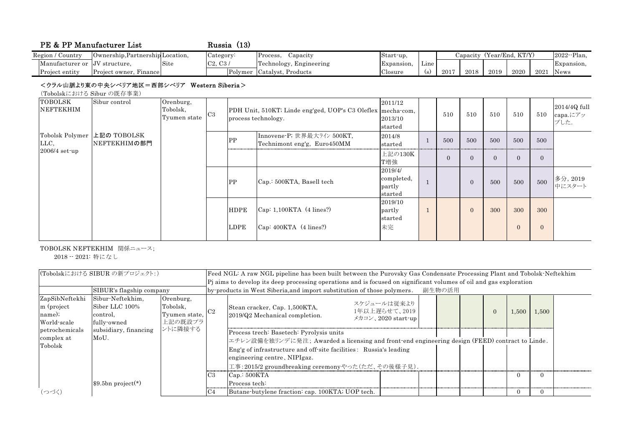| PE & PP Manufacturer List     |                                  |      |           | Russia (13) |                         |            |                                      |                           |      |      |      |      |                |
|-------------------------------|----------------------------------|------|-----------|-------------|-------------------------|------------|--------------------------------------|---------------------------|------|------|------|------|----------------|
| Region / Country              | Ownership, Partnership Location, |      | Category: |             | Capacity<br>Process.    | Start-up.  |                                      | Capacity (Year/End, KT/Y) |      |      |      |      | $2022 -$ Plan, |
| Manufacturer or JV structure, |                                  | Site | C2, C3/   |             | Technology, Engineering | Expansion, | <b>The Contract Contract</b><br>Line |                           |      |      |      |      | Expansion,     |
| Project entity                | Project owner,<br>Finance        |      |           | Polymer     | Catalyst, Products      | Closure    | $\rm (s)$                            | 2017                      | 2018 | 2019 | 2020 | 2021 | News           |

## <ウラル山脈より東の中央シベリア地区=西部シベリア Western Siberia>

(Tobolskにおける Sibur の既存事業)

| <b>TOBOLSK</b><br>NEFTEKHIM | Sibur control                               | Orenburg,<br>Tobolsk,<br>Tyumen state | C <sub>3</sub> |             | PDH Unit, 510KT; Linde eng'ged, UOP's C3 Oleflex mecha-com,<br>process technology. | 2011/12<br>2013/10<br>started              | 510            | 510            | 510      | 510      | 510            | 2014/4Q full<br>capa.C.<br>プした. |
|-----------------------------|---------------------------------------------|---------------------------------------|----------------|-------------|------------------------------------------------------------------------------------|--------------------------------------------|----------------|----------------|----------|----------|----------------|---------------------------------|
| LLC,                        | Tobolsk Polymer 上記の TOBOLSK<br>NEFTEKHIMの部門 |                                       |                | <b>PP</b>   | Innovene-P; 世界最大ライン 500KT,<br>Technimont eng'g, Euro450MM                          | 2014/8<br>started                          | 500            | 500            | 500      | 500      | 500            |                                 |
| $2006/4$ set up             |                                             |                                       |                |             |                                                                                    | 上記の130K<br>T増強                             | $\overline{0}$ | $\Omega$       | $\Omega$ | $\theta$ | $\overline{0}$ |                                 |
|                             |                                             |                                       |                | PP          | Cap.: 500KTA, Basell tech                                                          | 2019/4/<br>completed,<br>partly<br>started |                | $\overline{0}$ | 500      | 500      | 500            | 多分, 2019<br>中にスタート              |
|                             |                                             |                                       |                | <b>HDPE</b> | $\text{Cap: } 1,100KTA \text{ (4 lines?)}$                                         | 2019/10<br>partly<br>started               |                | $\overline{0}$ | 300      | 300      | 300            |                                 |
|                             |                                             |                                       |                | LDPE        | $Cap: 400KTA$ (4 lines?)                                                           | 未完                                         |                |                |          |          | $\mathbf{0}$   |                                 |

TOBOLSK NEFTEKHIM 関係ニュース;

2018 -- 2021: 特になし

| (Tobolskにおける SIBUR の新プロジェクト:)                         |                                                               |                                                   | Feed NGL: A raw NGL pipeline has been built between the Purovsky Gas Condensate Processing Plant and Tobolsk-Neftekhim |                                                                                                                                                                                                                                                                                                                     |                                                    |  |  |                   |       |  |  |  |  |
|-------------------------------------------------------|---------------------------------------------------------------|---------------------------------------------------|------------------------------------------------------------------------------------------------------------------------|---------------------------------------------------------------------------------------------------------------------------------------------------------------------------------------------------------------------------------------------------------------------------------------------------------------------|----------------------------------------------------|--|--|-------------------|-------|--|--|--|--|
|                                                       |                                                               |                                                   |                                                                                                                        | Pj aims to develop its deep processing operations and is focused on significant volumes of oil and gas exploration                                                                                                                                                                                                  |                                                    |  |  |                   |       |  |  |  |  |
| SIBUR's flagship company                              |                                                               |                                                   |                                                                                                                        | by products in West Siberia, and import substitution of those polymers.<br>副生物の活用                                                                                                                                                                                                                                   |                                                    |  |  |                   |       |  |  |  |  |
| ZapSibNeftekhi<br>m (project<br>name);<br>World-scale | Sibur-Neftekhim,<br>Siber LLC 100%<br>control,<br>fully-owned | Orenburg,<br>Tobolsk,<br>Tyumen state,<br>上記の既設プラ |                                                                                                                        | Stean cracker, Cap. 1,500KTA,<br>2019/Q2 Mechanical completion.                                                                                                                                                                                                                                                     | スケジュールは従来より<br>1年以上遅らせて、2019<br>メカコン、2020 start-up |  |  | $\Omega$<br>1,500 | 1,500 |  |  |  |  |
| petrochemicals<br>complex at<br>Tobolsk               | subsidiary, financing<br>MoU.                                 | ントに隣接する                                           | C <sub>3</sub>                                                                                                         | Process trech: Basetech: Pyrolysis units<br> エチレン設備を独リンデに発注; Awarded a licensing and front-end engineering design (FEED) contract to Linde.<br>Eng'g of infrastructure and off-site facilities: Russia's leading<br>engineering centre, NIPIgaz.<br>工事:2015/2 groundbreaking ceremonyやった(ただ、その後様子見).<br>Can: 500KTA |                                                    |  |  |                   | 0     |  |  |  |  |
| (つづく)                                                 | $$9.5bn project(*)$                                           |                                                   | C4                                                                                                                     | Process tech:<br>Butane butylene fraction: cap. 100KTA; UOP tech.                                                                                                                                                                                                                                                   |                                                    |  |  |                   |       |  |  |  |  |